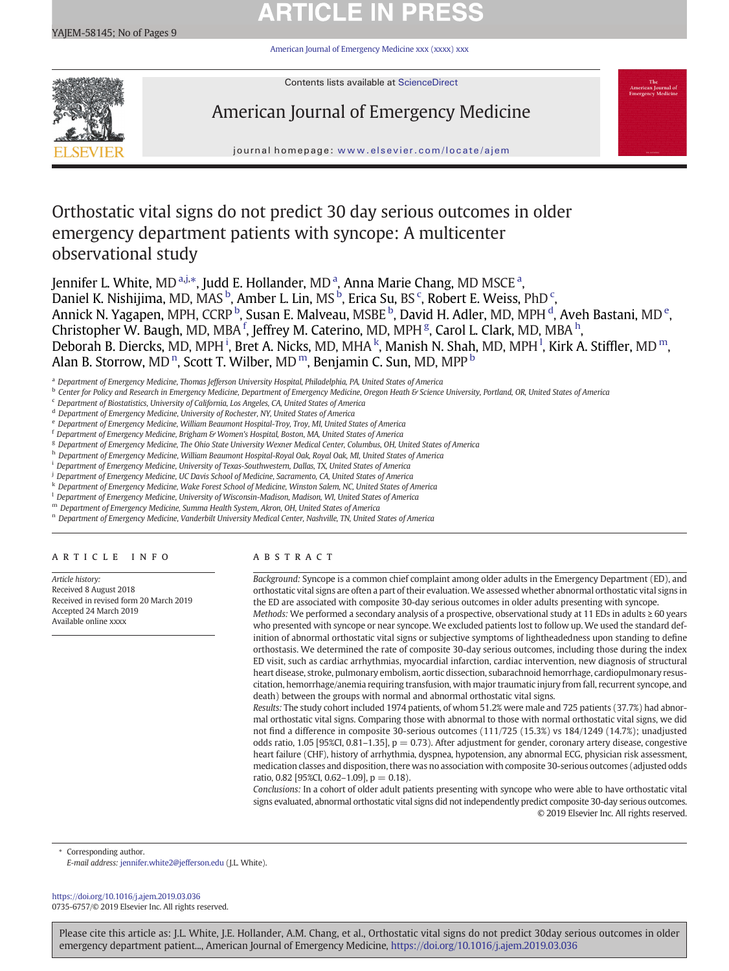# **ARTICLE IN PRES**

[American Journal of Emergency Medicine xxx \(xxxx\) xxx](https://doi.org/10.1016/j.ajem.2019.03.036)



Contents lists available at ScienceDirect

# American Journal of Emergency Medicine

journal homepage: <www.elsevier.com/locate/ajem>

# Orthostatic vital signs do not predict 30 day serious outcomes in older emergency department patients with syncope: A multicenter observational study

Jennifer L. White, MD <sup>a,j,\*</sup>, Judd E. Hollander, MD <sup>a</sup>, Anna Marie Chang, MD MSCE <sup>a</sup>, Daniel K. Nishijima, MD, MAS  $^{\rm b}$ , Amber L. Lin, MS  $^{\rm b}$ , Erica Su, BS  $^{\rm c}$ , Robert E. Weiss, PhD  $^{\rm c}$ , Annick N. Yagapen, MPH, CCRP <sup>b</sup>, Susan E. Malveau, MSBE <sup>b</sup>, David H. Adler, MD, MPH <sup>d</sup>, Aveh Bastani, MD <sup>e</sup>, Christopher W. Baugh, MD, MBA <sup>f</sup>, Jeffrey M. Caterino, MD, MPH <sup>g</sup>, Carol L. Clark, MD, MBA <sup>h</sup>, Deborah B. Diercks, MD, MPH<sup>i</sup>, Bret A. Nicks, MD, MHA<sup>k</sup>, Manish N. Shah, MD, MPH<sup>1</sup>, Kirk A. Stiffler, MD<sup>m</sup>, Alan B. Storrow, MD<sup>n</sup>, Scott T. Wilber, MD<sup>m</sup>, Benjamin C. Sun, MD, MPP  $^{\rm b}$ 

<sup>a</sup> Department of Emergency Medicine, Thomas Jefferson University Hospital, Philadelphia, PA, United States of America

**b** Center for Policy and Research in Emergency Medicine, Department of Emergency Medicine, Oregon Heath & Science University, Portland, OR, United States of America

 $c$  Department of Biostatistics, University of California, Los Angeles, CA, United States of America

<sup>d</sup> Department of Emergency Medicine, University of Rochester, NY, United States of America

<sup>e</sup> Department of Emergency Medicine, William Beaumont Hospital-Troy, Troy, MI, United States of America

<sup>f</sup> Department of Emergency Medicine, Brigham & Women's Hospital, Boston, MA, United States of America

<sup>g</sup> Department of Emergency Medicine, The Ohio State University Wexner Medical Center, Columbus, OH, United States of America

h Department of Emergency Medicine, William Beaumont Hospital-Royal Oak, Royal Oak, MI, United States of America

<sup>i</sup> Department of Emergency Medicine, University of Texas-Southwestern, Dallas, TX, United States of America

<sup>j</sup> Department of Emergency Medicine, UC Davis School of Medicine, Sacramento, CA, United States of America

k Department of Emergency Medicine, Wake Forest School of Medicine, Winston Salem, NC, United States of America

<sup>1</sup> Department of Emergency Medicine, University of Wisconsin-Madison, Madison, WI, United States of America

m Department of Emergency Medicine, Summa Health System, Akron, OH, United States of America

<sup>n</sup> Department of Emergency Medicine, Vanderbilt University Medical Center, Nashville, TN, United States of America

### article info abstract

Article history: Received 8 August 2018 Received in revised form 20 March 2019 Accepted 24 March 2019 Available online xxxx

Background: Syncope is a common chief complaint among older adults in the Emergency Department (ED), and orthostatic vital signs are often a part of their evaluation.We assessed whether abnormal orthostatic vital signs in the ED are associated with composite 30-day serious outcomes in older adults presenting with syncope.

Methods: We performed a secondary analysis of a prospective, observational study at 11 EDs in adults ≥ 60 years who presented with syncope or near syncope. We excluded patients lost to follow up. We used the standard definition of abnormal orthostatic vital signs or subjective symptoms of lightheadedness upon standing to define orthostasis. We determined the rate of composite 30-day serious outcomes, including those during the index ED visit, such as cardiac arrhythmias, myocardial infarction, cardiac intervention, new diagnosis of structural heart disease, stroke, pulmonary embolism, aortic dissection, subarachnoid hemorrhage, cardiopulmonary resuscitation, hemorrhage/anemia requiring transfusion, with major traumatic injury from fall, recurrent syncope, and death) between the groups with normal and abnormal orthostatic vital signs.

Results: The study cohort included 1974 patients, of whom 51.2% were male and 725 patients (37.7%) had abnormal orthostatic vital signs. Comparing those with abnormal to those with normal orthostatic vital signs, we did not find a difference in composite 30-serious outcomes (111/725 (15.3%) vs 184/1249 (14.7%); unadjusted odds ratio, 1.05 [95%CI, 0.81-1.35],  $p = 0.73$ ). After adjustment for gender, coronary artery disease, congestive heart failure (CHF), history of arrhythmia, dyspnea, hypotension, any abnormal ECG, physician risk assessment, medication classes and disposition, there was no association with composite 30-serious outcomes (adjusted odds ratio, 0.82 [95%CI, 0.62–1.09], p = 0.18).

Conclusions: In a cohort of older adult patients presenting with syncope who were able to have orthostatic vital signs evaluated, abnormal orthostatic vital signs did not independently predict composite 30-day serious outcomes. © 2019 Elsevier Inc. All rights reserved.

Corresponding author.

E-mail address: <jennifer.white2@jefferson.edu> (J.L. White).

<https://doi.org/10.1016/j.ajem.2019.03.036> 0735-6757/© 2019 Elsevier Inc. All rights reserved.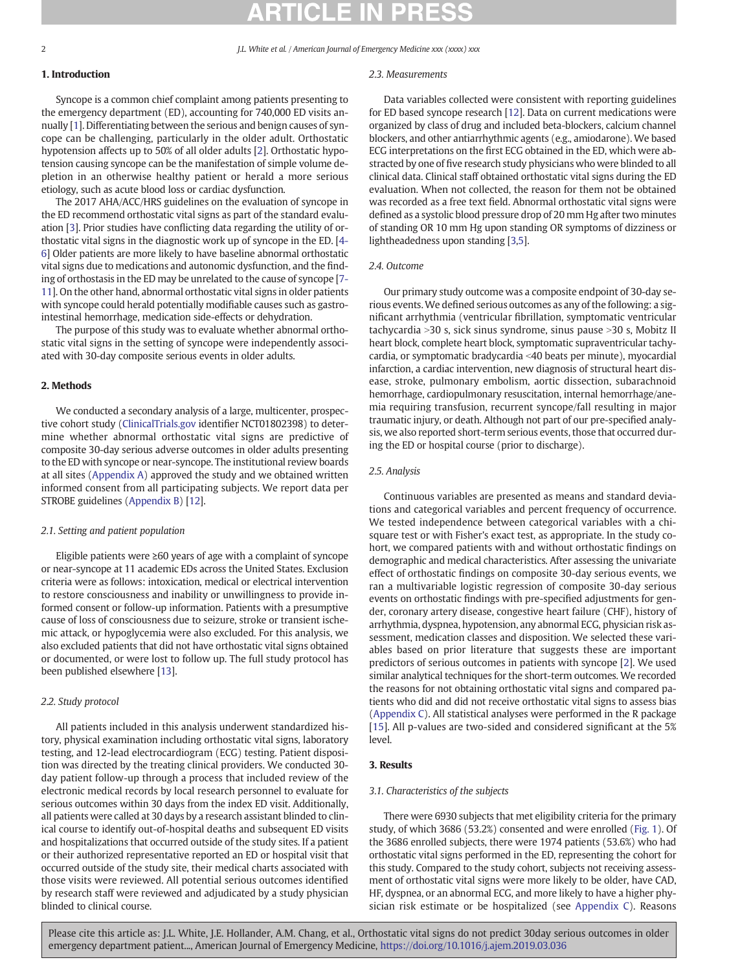# 1. Introduction

Syncope is a common chief complaint among patients presenting to the emergency department (ED), accounting for 740,000 ED visits annually [\[1](#page-7-0)]. Differentiating between the serious and benign causes of syncope can be challenging, particularly in the older adult. Orthostatic hypotension affects up to 50% of all older adults [\[2\]](#page-7-0). Orthostatic hypotension causing syncope can be the manifestation of simple volume depletion in an otherwise healthy patient or herald a more serious etiology, such as acute blood loss or cardiac dysfunction.

The 2017 AHA/ACC/HRS guidelines on the evaluation of syncope in the ED recommend orthostatic vital signs as part of the standard evaluation [[3](#page-7-0)]. Prior studies have conflicting data regarding the utility of orthostatic vital signs in the diagnostic work up of syncope in the ED. [\[4-](#page-7-0) [6](#page-7-0)] Older patients are more likely to have baseline abnormal orthostatic vital signs due to medications and autonomic dysfunction, and the finding of orthostasis in the ED may be unrelated to the cause of syncope [\[7-](#page-7-0) [11\]](#page-7-0). On the other hand, abnormal orthostatic vital signs in older patients with syncope could herald potentially modifiable causes such as gastrointestinal hemorrhage, medication side-effects or dehydration.

The purpose of this study was to evaluate whether abnormal orthostatic vital signs in the setting of syncope were independently associated with 30-day composite serious events in older adults.

## 2. Methods

We conducted a secondary analysis of a large, multicenter, prospective cohort study [\(ClinicalTrials.gov](http://ClinicalTrials.gov) identifier NCT01802398) to determine whether abnormal orthostatic vital signs are predictive of composite 30-day serious adverse outcomes in older adults presenting to the ED with syncope or near-syncope. The institutional review boards at all sites [\(Appendix A](#page-5-0)) approved the study and we obtained written informed consent from all participating subjects. We report data per STROBE guidelines [\(Appendix B](#page-5-0)) [[12\]](#page-8-0).

# 2.1. Setting and patient population

Eligible patients were ≥60 years of age with a complaint of syncope or near-syncope at 11 academic EDs across the United States. Exclusion criteria were as follows: intoxication, medical or electrical intervention to restore consciousness and inability or unwillingness to provide informed consent or follow-up information. Patients with a presumptive cause of loss of consciousness due to seizure, stroke or transient ischemic attack, or hypoglycemia were also excluded. For this analysis, we also excluded patients that did not have orthostatic vital signs obtained or documented, or were lost to follow up. The full study protocol has been published elsewhere [\[13](#page-8-0)].

# 2.2. Study protocol

All patients included in this analysis underwent standardized history, physical examination including orthostatic vital signs, laboratory testing, and 12-lead electrocardiogram (ECG) testing. Patient disposition was directed by the treating clinical providers. We conducted 30 day patient follow-up through a process that included review of the electronic medical records by local research personnel to evaluate for serious outcomes within 30 days from the index ED visit. Additionally, all patients were called at 30 days by a research assistant blinded to clinical course to identify out-of-hospital deaths and subsequent ED visits and hospitalizations that occurred outside of the study sites. If a patient or their authorized representative reported an ED or hospital visit that occurred outside of the study site, their medical charts associated with those visits were reviewed. All potential serious outcomes identified by research staff were reviewed and adjudicated by a study physician blinded to clinical course.

### 2.3. Measurements

Data variables collected were consistent with reporting guidelines for ED based syncope research [\[12](#page-8-0)]. Data on current medications were organized by class of drug and included beta-blockers, calcium channel blockers, and other antiarrhythmic agents (e.g., amiodarone). We based ECG interpretations on the first ECG obtained in the ED, which were abstracted by one of five research study physicians who were blinded to all clinical data. Clinical staff obtained orthostatic vital signs during the ED evaluation. When not collected, the reason for them not be obtained was recorded as a free text field. Abnormal orthostatic vital signs were defined as a systolic blood pressure drop of 20 mm Hg after two minutes of standing OR 10 mm Hg upon standing OR symptoms of dizziness or lightheadedness upon standing [\[3,5](#page-7-0)].

### 2.4. Outcome

Our primary study outcome was a composite endpoint of 30-day serious events.We defined serious outcomes as any of the following: a significant arrhythmia (ventricular fibrillation, symptomatic ventricular tachycardia  $>$ 30 s, sick sinus syndrome, sinus pause  $>$ 30 s, Mobitz II heart block, complete heart block, symptomatic supraventricular tachycardia, or symptomatic bradycardia <40 beats per minute), myocardial infarction, a cardiac intervention, new diagnosis of structural heart disease, stroke, pulmonary embolism, aortic dissection, subarachnoid hemorrhage, cardiopulmonary resuscitation, internal hemorrhage/anemia requiring transfusion, recurrent syncope/fall resulting in major traumatic injury, or death. Although not part of our pre-specified analysis, we also reported short-term serious events, those that occurred during the ED or hospital course (prior to discharge).

#### 2.5. Analysis

Continuous variables are presented as means and standard deviations and categorical variables and percent frequency of occurrence. We tested independence between categorical variables with a chisquare test or with Fisher's exact test, as appropriate. In the study cohort, we compared patients with and without orthostatic findings on demographic and medical characteristics. After assessing the univariate effect of orthostatic findings on composite 30-day serious events, we ran a multivariable logistic regression of composite 30-day serious events on orthostatic findings with pre-specified adjustments for gender, coronary artery disease, congestive heart failure (CHF), history of arrhythmia, dyspnea, hypotension, any abnormal ECG, physician risk assessment, medication classes and disposition. We selected these variables based on prior literature that suggests these are important predictors of serious outcomes in patients with syncope [[2](#page-7-0)]. We used similar analytical techniques for the short-term outcomes. We recorded the reasons for not obtaining orthostatic vital signs and compared patients who did and did not receive orthostatic vital signs to assess bias [\(Appendix C](#page-6-0)). All statistical analyses were performed in the R package [[15\]](#page-8-0). All p-values are two-sided and considered significant at the 5% level.

### 3. Results

### 3.1. Characteristics of the subjects

There were 6930 subjects that met eligibility criteria for the primary study, of which 3686 (53.2%) consented and were enrolled [\(Fig. 1](#page-2-0)). Of the 3686 enrolled subjects, there were 1974 patients (53.6%) who had orthostatic vital signs performed in the ED, representing the cohort for this study. Compared to the study cohort, subjects not receiving assessment of orthostatic vital signs were more likely to be older, have CAD, HF, dyspnea, or an abnormal ECG, and more likely to have a higher physician risk estimate or be hospitalized (see [Appendix C](#page-6-0)). Reasons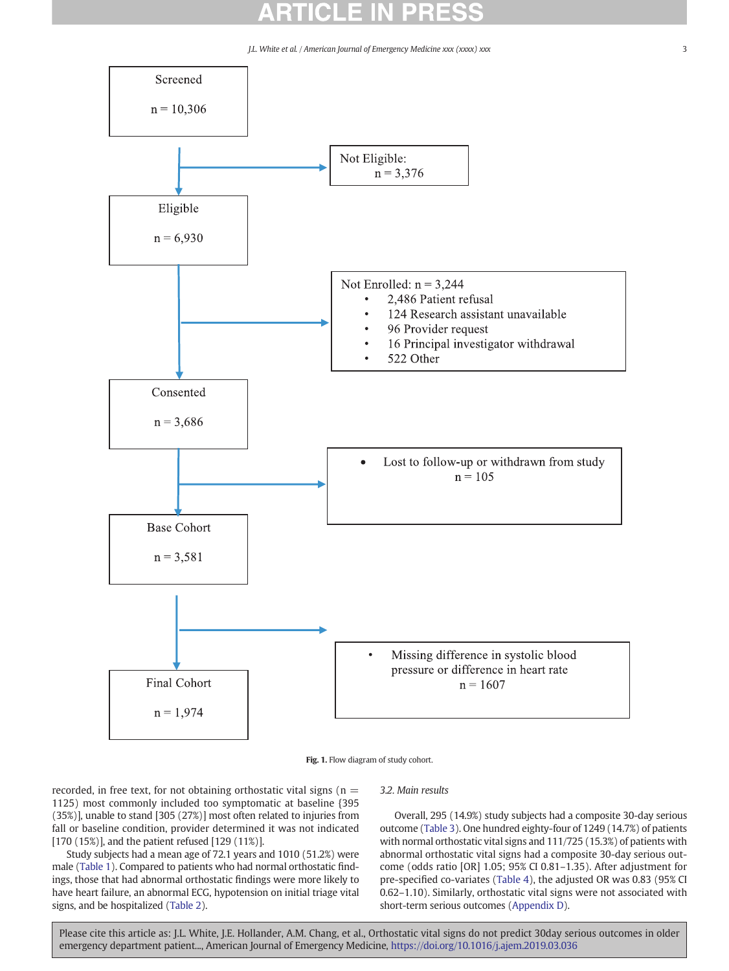<span id="page-2-0"></span>



recorded, in free text, for not obtaining orthostatic vital signs ( $n =$ 1125) most commonly included too symptomatic at baseline {395 (35%)], unable to stand [305 (27%)] most often related to injuries from fall or baseline condition, provider determined it was not indicated [170 (15%)], and the patient refused [129 (11%)].

Study subjects had a mean age of 72.1 years and 1010 (51.2%) were male [\(Table 1\)](#page-3-0). Compared to patients who had normal orthostatic findings, those that had abnormal orthostatic findings were more likely to have heart failure, an abnormal ECG, hypotension on initial triage vital signs, and be hospitalized [\(Table 2](#page-4-0)).

### 3.2. Main results

Overall, 295 (14.9%) study subjects had a composite 30-day serious outcome ([Table 3\)](#page-4-0). One hundred eighty-four of 1249 (14.7%) of patients with normal orthostatic vital signs and 111/725 (15.3%) of patients with abnormal orthostatic vital signs had a composite 30-day serious outcome (odds ratio [OR] 1.05; 95% CI 0.81–1.35). After adjustment for pre-specified co-variates [\(Table 4](#page-5-0)), the adjusted OR was 0.83 (95% CI 0.62–1.10). Similarly, orthostatic vital signs were not associated with short-term serious outcomes ([Appendix D\)](#page-7-0).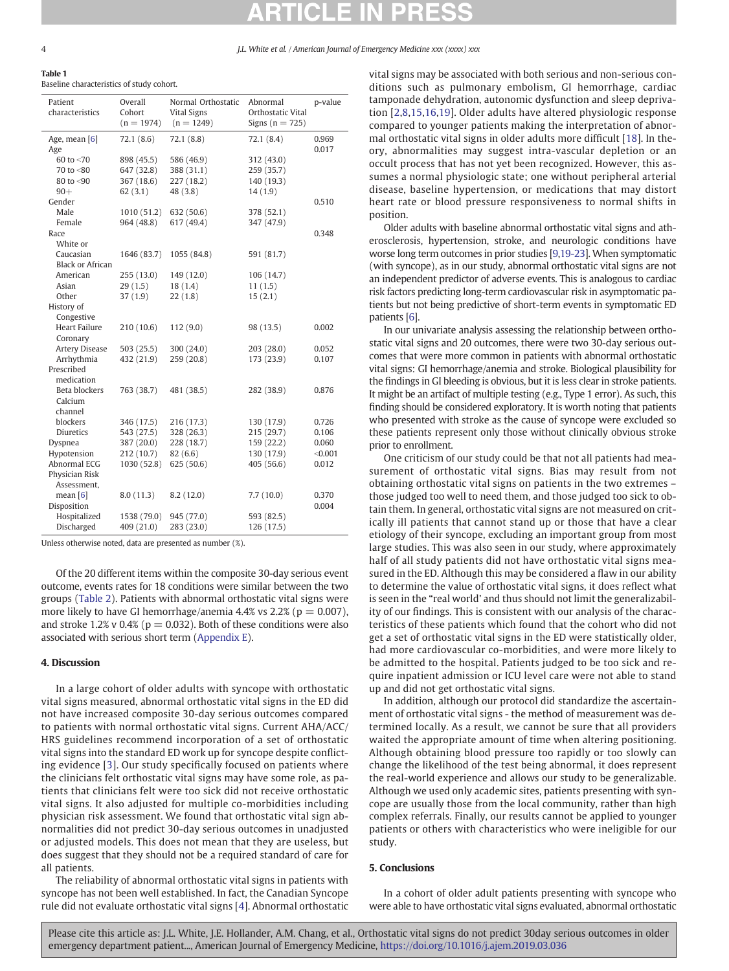<span id="page-3-0"></span>

Table 1

Baseline characteristics of study cohort.

| Patient<br>characteristics | Overall<br>Cohort<br>$(n = 1974)$ | Normal Orthostatic<br><b>Vital Signs</b><br>$(n = 1249)$ | Abnormal<br>Orthostatic Vital<br>Signs ( $n = 725$ ) | p-value |
|----------------------------|-----------------------------------|----------------------------------------------------------|------------------------------------------------------|---------|
| Age, mean [6]              | 72.1 (8.6)                        | 72.1(8.8)                                                | 72.1(8.4)                                            | 0.969   |
| Age                        |                                   |                                                          |                                                      | 0.017   |
| 60 to $< 70$               | 898 (45.5)                        | 586 (46.9)                                               | 312 (43.0)                                           |         |
| 70 to <80                  | 647 (32.8)                        | 388 (31.1)                                               | 259 (35.7)                                           |         |
| 80 to <90                  | 367 (18.6)                        | 227 (18.2)                                               | 140 (19.3)                                           |         |
| $90+$                      | 62(3.1)                           | 48 (3.8)                                                 | 14(1.9)                                              |         |
| Gender                     |                                   |                                                          |                                                      | 0.510   |
| Male                       | 1010(51.2)                        | 632 (50.6)                                               | 378 (52.1)                                           |         |
| Female                     | 964 (48.8)                        | 617 (49.4)                                               | 347 (47.9)                                           |         |
| Race                       |                                   |                                                          |                                                      | 0.348   |
| White or                   |                                   |                                                          |                                                      |         |
| Caucasian                  | 1646 (83.7)                       | 1055 (84.8)                                              | 591 (81.7)                                           |         |
| Black or African           |                                   |                                                          |                                                      |         |
| American                   | 255(13.0)                         | 149 (12.0)                                               | 106 (14.7)                                           |         |
| Asian                      | 29(1.5)                           | 18(1.4)                                                  | 11(1.5)                                              |         |
| Other                      | 37(1.9)                           | 22(1.8)                                                  | 15(2.1)                                              |         |
| History of                 |                                   |                                                          |                                                      |         |
| Congestive                 |                                   |                                                          |                                                      |         |
| <b>Heart Failure</b>       | 210 (10.6)                        | 112(9.0)                                                 | 98 (13.5)                                            | 0.002   |
| Coronary                   |                                   |                                                          |                                                      |         |
| <b>Artery Disease</b>      | 503(25.5)                         | 300 (24.0)                                               | 203 (28.0)                                           | 0.052   |
| Arrhythmia                 | 432 (21.9)                        | 259 (20.8)                                               | 173 (23.9)                                           | 0.107   |
| Prescribed                 |                                   |                                                          |                                                      |         |
| medication                 |                                   |                                                          |                                                      |         |
| Beta blockers              | 763 (38.7)                        | 481 (38.5)                                               | 282 (38.9)                                           | 0.876   |
| Calcium                    |                                   |                                                          |                                                      |         |
| channel                    |                                   |                                                          |                                                      |         |
| blockers                   | 346 (17.5)                        | 216 (17.3)                                               | 130 (17.9)                                           | 0.726   |
| <b>Diuretics</b>           | 543 (27.5)                        | 328 (26.3)                                               | 215 (29.7)                                           | 0.106   |
| Dyspnea                    | 387 (20.0)                        | 228 (18.7)                                               | 159 (22.2)                                           | 0.060   |
| Hypotension                | 212 (10.7)                        | 82(6.6)                                                  | 130 (17.9)                                           | < 0.001 |
| Abnormal ECG               | 1030 (52.8)                       | 625(50.6)                                                | 405 (56.6)                                           | 0.012   |
| Physician Risk             |                                   |                                                          |                                                      |         |
| Assessment.                |                                   |                                                          |                                                      |         |
| mean $[6]$                 | 8.0(11.3)                         | 8.2(12.0)                                                | 7.7(10.0)                                            | 0.370   |
| Disposition                |                                   |                                                          |                                                      | 0.004   |
| Hospitalized               | 1538 (79.0)                       | 945 (77.0)                                               | 593 (82.5)                                           |         |
| Discharged                 | 409 (21.0)                        | 283 (23.0)                                               | 126 (17.5)                                           |         |
|                            |                                   |                                                          |                                                      |         |

Unless otherwise noted, data are presented as number (%).

Of the 20 different items within the composite 30-day serious event outcome, events rates for 18 conditions were similar between the two groups ([Table 2\)](#page-4-0). Patients with abnormal orthostatic vital signs were more likely to have GI hemorrhage/anemia 4.4% vs 2.2% ( $p = 0.007$ ), and stroke 1.2% v 0.4% ( $p = 0.032$ ). Both of these conditions were also associated with serious short term [\(Appendix E](#page-7-0)).

#### 4. Discussion

In a large cohort of older adults with syncope with orthostatic vital signs measured, abnormal orthostatic vital signs in the ED did not have increased composite 30-day serious outcomes compared to patients with normal orthostatic vital signs. Current AHA/ACC/ HRS guidelines recommend incorporation of a set of orthostatic vital signs into the standard ED work up for syncope despite conflicting evidence [\[3](#page-7-0)]. Our study specifically focused on patients where the clinicians felt orthostatic vital signs may have some role, as patients that clinicians felt were too sick did not receive orthostatic vital signs. It also adjusted for multiple co-morbidities including physician risk assessment. We found that orthostatic vital sign abnormalities did not predict 30-day serious outcomes in unadjusted or adjusted models. This does not mean that they are useless, but does suggest that they should not be a required standard of care for all patients.

The reliability of abnormal orthostatic vital signs in patients with syncope has not been well established. In fact, the Canadian Syncope rule did not evaluate orthostatic vital signs [[4\]](#page-7-0). Abnormal orthostatic

vital signs may be associated with both serious and non-serious conditions such as pulmonary embolism, GI hemorrhage, cardiac tamponade dehydration, autonomic dysfunction and sleep deprivation [\[2,8,](#page-7-0)[15](#page-8-0),[16,19](#page-8-0)]. Older adults have altered physiologic response compared to younger patients making the interpretation of abnormal orthostatic vital signs in older adults more difficult [[18\]](#page-8-0). In theory, abnormalities may suggest intra-vascular depletion or an occult process that has not yet been recognized. However, this assumes a normal physiologic state; one without peripheral arterial disease, baseline hypertension, or medications that may distort heart rate or blood pressure responsiveness to normal shifts in position.

Older adults with baseline abnormal orthostatic vital signs and atherosclerosis, hypertension, stroke, and neurologic conditions have worse long term outcomes in prior studies [[9](#page-7-0),[19-23](#page-8-0)]. When symptomatic (with syncope), as in our study, abnormal orthostatic vital signs are not an independent predictor of adverse events. This is analogous to cardiac risk factors predicting long-term cardiovascular risk in asymptomatic patients but not being predictive of short-term events in symptomatic ED patients [\[6\]](#page-7-0).

In our univariate analysis assessing the relationship between orthostatic vital signs and 20 outcomes, there were two 30-day serious outcomes that were more common in patients with abnormal orthostatic vital signs: GI hemorrhage/anemia and stroke. Biological plausibility for the findings in GI bleeding is obvious, but it is less clear in stroke patients. It might be an artifact of multiple testing (e.g., Type 1 error). As such, this finding should be considered exploratory. It is worth noting that patients who presented with stroke as the cause of syncope were excluded so these patients represent only those without clinically obvious stroke prior to enrollment.

One criticism of our study could be that not all patients had measurement of orthostatic vital signs. Bias may result from not obtaining orthostatic vital signs on patients in the two extremes – those judged too well to need them, and those judged too sick to obtain them. In general, orthostatic vital signs are not measured on critically ill patients that cannot stand up or those that have a clear etiology of their syncope, excluding an important group from most large studies. This was also seen in our study, where approximately half of all study patients did not have orthostatic vital signs measured in the ED. Although this may be considered a flaw in our ability to determine the value of orthostatic vital signs, it does reflect what is seen in the "real world' and thus should not limit the generalizability of our findings. This is consistent with our analysis of the characteristics of these patients which found that the cohort who did not get a set of orthostatic vital signs in the ED were statistically older, had more cardiovascular co-morbidities, and were more likely to be admitted to the hospital. Patients judged to be too sick and require inpatient admission or ICU level care were not able to stand up and did not get orthostatic vital signs.

In addition, although our protocol did standardize the ascertainment of orthostatic vital signs - the method of measurement was determined locally. As a result, we cannot be sure that all providers waited the appropriate amount of time when altering positioning. Although obtaining blood pressure too rapidly or too slowly can change the likelihood of the test being abnormal, it does represent the real-world experience and allows our study to be generalizable. Although we used only academic sites, patients presenting with syncope are usually those from the local community, rather than high complex referrals. Finally, our results cannot be applied to younger patients or others with characteristics who were ineligible for our study.

## 5. Conclusions

In a cohort of older adult patients presenting with syncope who were able to have orthostatic vital signs evaluated, abnormal orthostatic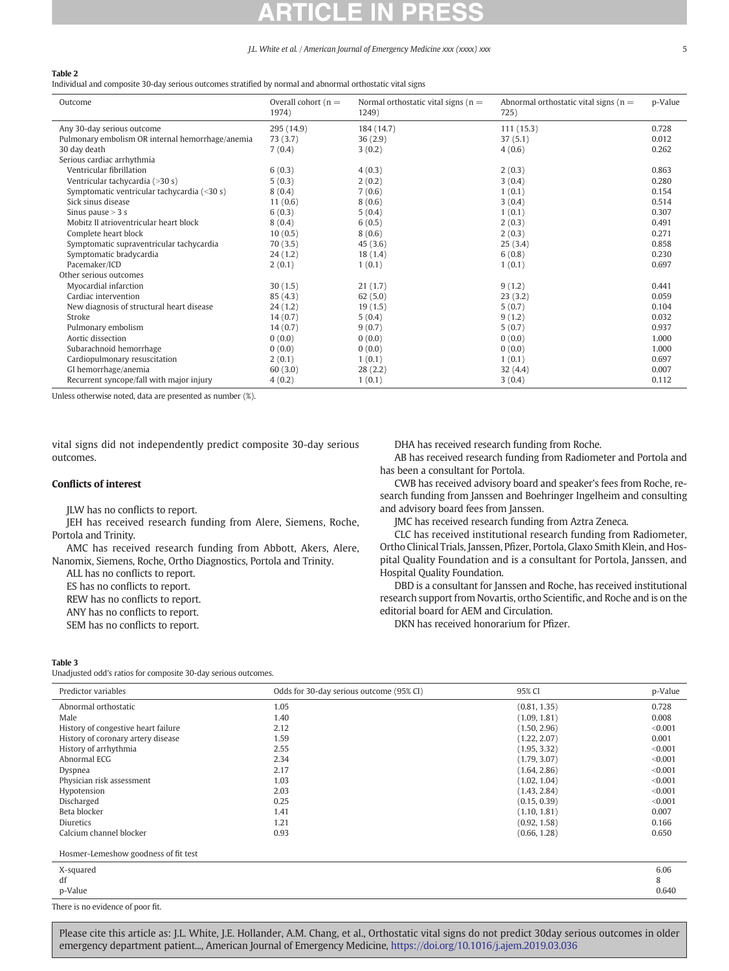### <span id="page-4-0"></span>Table 2

Individual and composite 30-day serious outcomes stratified by normal and abnormal orthostatic vital signs

| Outcome                                          | Overall cohort ( $n =$<br>1974) | Normal orthostatic vital signs ( $n =$<br>1249) | Abnormal orthostatic vital signs ( $n =$<br>725) | p-Value |
|--------------------------------------------------|---------------------------------|-------------------------------------------------|--------------------------------------------------|---------|
|                                                  |                                 |                                                 |                                                  |         |
| Any 30-day serious outcome                       | 295 (14.9)                      | 184 (14.7)                                      | 111(15.3)                                        | 0.728   |
| Pulmonary embolism OR internal hemorrhage/anemia | 73(3.7)                         | 36(2.9)                                         | 37(5.1)                                          | 0.012   |
| 30 day death                                     | 7(0.4)                          | 3(0.2)                                          | 4(0.6)                                           | 0.262   |
| Serious cardiac arrhythmia                       |                                 |                                                 |                                                  |         |
| Ventricular fibrillation                         | 6(0.3)                          | 4(0.3)                                          | 2(0.3)                                           | 0.863   |
| Ventricular tachycardia (>30 s)                  | 5(0.3)                          | 2(0.2)                                          | 3(0.4)                                           | 0.280   |
| Symptomatic ventricular tachycardia (<30 s)      | 8(0.4)                          | 7(0.6)                                          | 1(0.1)                                           | 0.154   |
| Sick sinus disease                               | 11(0.6)                         | 8(0.6)                                          | 3(0.4)                                           | 0.514   |
| Sinus pause $>$ 3 s                              | 6(0.3)                          | 5(0.4)                                          | 1(0.1)                                           | 0.307   |
| Mobitz II atrioventricular heart block           | 8(0.4)                          | 6(0.5)                                          | 2(0.3)                                           | 0.491   |
| Complete heart block                             | 10(0.5)                         | 8(0.6)                                          | 2(0.3)                                           | 0.271   |
| Symptomatic supraventricular tachycardia         | 70(3.5)                         | 45(3.6)                                         | 25(3.4)                                          | 0.858   |
| Symptomatic bradycardia                          | 24(1.2)                         | 18(1.4)                                         | 6(0.8)                                           | 0.230   |
| Pacemaker/ICD                                    | 2(0.1)                          | 1(0.1)                                          | 1(0.1)                                           | 0.697   |
| Other serious outcomes                           |                                 |                                                 |                                                  |         |
| Myocardial infarction                            | 30(1.5)                         | 21(1.7)                                         | 9(1.2)                                           | 0.441   |
| Cardiac intervention                             | 85(4.3)                         | 62(5.0)                                         | 23(3.2)                                          | 0.059   |
| New diagnosis of structural heart disease        | 24(1.2)                         | 19(1.5)                                         | 5(0.7)                                           | 0.104   |
| Stroke                                           | 14(0.7)                         | 5(0.4)                                          | 9(1.2)                                           | 0.032   |
| Pulmonary embolism                               | 14(0.7)                         | 9(0.7)                                          | 5(0.7)                                           | 0.937   |
| Aortic dissection                                | 0(0.0)                          | 0(0.0)                                          | 0(0.0)                                           | 1.000   |
| Subarachnoid hemorrhage                          | 0(0.0)                          | 0(0.0)                                          | 0(0.0)                                           | 1.000   |
| Cardiopulmonary resuscitation                    | 2(0.1)                          | 1(0.1)                                          | 1(0.1)                                           | 0.697   |
| GI hemorrhage/anemia                             | 60(3.0)                         | 28(2.2)                                         | 32(4.4)                                          | 0.007   |
| Recurrent syncope/fall with major injury         | 4(0.2)                          | 1(0.1)                                          | 3(0.4)                                           | 0.112   |

Unless otherwise noted, data are presented as number (%).

vital signs did not independently predict composite 30-day serious outcomes.

### Conflicts of interest

JLW has no conflicts to report.

JEH has received research funding from Alere, Siemens, Roche, Portola and Trinity.

AMC has received research funding from Abbott, Akers, Alere, Nanomix, Siemens, Roche, Ortho Diagnostics, Portola and Trinity.

ALL has no conflicts to report.

ES has no conflicts to report.

REW has no conflicts to report.

ANY has no conflicts to report.

SEM has no conflicts to report.

#### Table 3

Hosi

| Predictor variables                 | Odds for 30-day serious outcome (95% CI) | 95% CI       | p-Value |
|-------------------------------------|------------------------------------------|--------------|---------|
| Abnormal orthostatic                | 1.05                                     | (0.81, 1.35) | 0.728   |
| Male                                | 1.40                                     | (1.09, 1.81) | 0.008   |
| History of congestive heart failure | 2.12                                     | (1.50, 2.96) | < 0.001 |
| History of coronary artery disease  | 1.59                                     | (1.22, 2.07) | 0.001   |
| History of arrhythmia               | 2.55                                     | (1.95, 3.32) | < 0.001 |
| Abnormal ECG                        | 2.34                                     | (1.79, 3.07) | < 0.001 |
| Dyspnea                             | 2.17                                     | (1.64, 2.86) | < 0.001 |
| Physician risk assessment           | 1.03                                     | (1.02, 1.04) | < 0.001 |
| Hypotension                         | 2.03                                     | (1.43, 2.84) | < 0.001 |
| Discharged                          | 0.25                                     | (0.15, 0.39) | < 0.001 |
| Beta blocker                        | 1.41                                     | (1.10, 1.81) | 0.007   |
| Diuretics                           | 1.21                                     | (0.92, 1.58) | 0.166   |
| Calcium channel blocker             | 0.93                                     | (0.66, 1.28) | 0.650   |

| X-squared | 6.06  |
|-----------|-------|
| df<br>--- |       |
| p-Value   | 0.640 |

There is no evidence of poor fit.

Please cite this article as: J.L. White, J.E. Hollander, A.M. Chang, et al., Orthostatic vital signs do not predict 30day serious outcomes in older emergency department patient..., American Journal of Emergency Medicine, <https://doi.org/10.1016/j.ajem.2019.03.036>

DHA has received research funding from Roche.

AB has received research funding from Radiometer and Portola and has been a consultant for Portola.

CWB has received advisory board and speaker's fees from Roche, research funding from Janssen and Boehringer Ingelheim and consulting and advisory board fees from Janssen.

JMC has received research funding from Aztra Zeneca.

CLC has received institutional research funding from Radiometer, Ortho Clinical Trials, Janssen, Pfizer, Portola, Glaxo Smith Klein, and Hospital Quality Foundation and is a consultant for Portola, Janssen, and Hospital Quality Foundation.

DBD is a consultant for Janssen and Roche, has received institutional research support from Novartis, ortho Scientific, and Roche and is on the editorial board for AEM and Circulation.

DKN has received honorarium for Pfizer.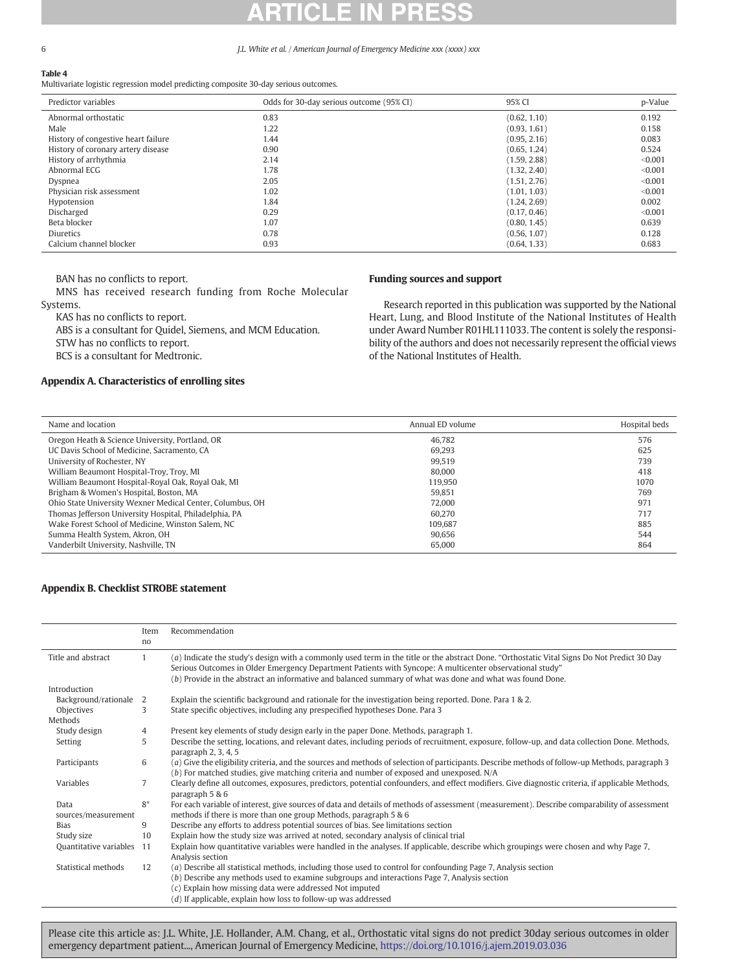# <span id="page-5-0"></span>Table 4

Multivariate logistic regression model predicting composite 30-day serious outcomes.

| Predictor variables                 | Odds for 30-day serious outcome (95% CI) | 95% CI       | p-Value |
|-------------------------------------|------------------------------------------|--------------|---------|
| Abnormal orthostatic                | 0.83                                     | (0.62, 1.10) | 0.192   |
| Male                                | 1.22                                     | (0.93, 1.61) | 0.158   |
| History of congestive heart failure | 1.44                                     | (0.95, 2.16) | 0.083   |
| History of coronary artery disease  | 0.90                                     | (0.65, 1.24) | 0.524   |
| History of arrhythmia               | 2.14                                     | (1.59, 2.88) | < 0.001 |
| Abnormal ECG                        | 1.78                                     | (1.32, 2.40) | < 0.001 |
| Dyspnea                             | 2.05                                     | (1.51, 2.76) | < 0.001 |
| Physician risk assessment           | 1.02                                     | (1.01, 1.03) | < 0.001 |
| Hypotension                         | 1.84                                     | (1.24, 2.69) | 0.002   |
| Discharged                          | 0.29                                     | (0.17, 0.46) | < 0.001 |
| Beta blocker                        | 1.07                                     | (0.80, 1.45) | 0.639   |
| Diuretics                           | 0.78                                     | (0.56, 1.07) | 0.128   |
| Calcium channel blocker             | 0.93                                     | (0.64, 1.33) | 0.683   |

BAN has no conflicts to report.

MNS has received research funding from Roche Molecular Systems.

KAS has no conflicts to report.

ABS is a consultant for Quidel, Siemens, and MCM Education.

STW has no conflicts to report.

BCS is a consultant for Medtronic.

### Appendix A. Characteristics of enrolling sites

### Funding sources and support

Research reported in this publication was supported by the National Heart, Lung, and Blood Institute of the National Institutes of Health under Award Number R01HL111033. The content is solely the responsibility of the authors and does not necessarily represent the official views of the National Institutes of Health.

| Name and location                                         | Annual ED volume | Hospital beds |
|-----------------------------------------------------------|------------------|---------------|
| Oregon Heath & Science University, Portland, OR           | 46.782           | 576           |
| UC Davis School of Medicine, Sacramento, CA               | 69.293           | 625           |
| University of Rochester, NY                               | 99.519           | 739           |
| William Beaumont Hospital-Troy, Troy, MI                  | 80.000           | 418           |
| William Beaumont Hospital-Royal Oak, Royal Oak, MI        | 119.950          | 1070          |
| Brigham & Women's Hospital, Boston, MA                    | 59.851           | 769           |
| Ohio State University Wexner Medical Center, Columbus, OH | 72,000           | 971           |
| Thomas Jefferson University Hospital, Philadelphia, PA    | 60.270           | 717           |
| Wake Forest School of Medicine, Winston Salem, NC         | 109.687          | 885           |
| Summa Health System, Akron, OH                            | 90.656           | 544           |
| Vanderbilt University, Nashville, TN                      | 65,000           | 864           |

#### Appendix B. Checklist STROBE statement

|                             | Item | Recommendation                                                                                                                                                                                                                                                                                                                                                         |
|-----------------------------|------|------------------------------------------------------------------------------------------------------------------------------------------------------------------------------------------------------------------------------------------------------------------------------------------------------------------------------------------------------------------------|
|                             | no   |                                                                                                                                                                                                                                                                                                                                                                        |
| Title and abstract          |      | (a) Indicate the study's design with a commonly used term in the title or the abstract Done. "Orthostatic Vital Signs Do Not Predict 30 Day<br>Serious Outcomes in Older Emergency Department Patients with Syncope: A multicenter observational study"<br>$(b)$ Provide in the abstract an informative and balanced summary of what was done and what was found Done. |
| Introduction                |      |                                                                                                                                                                                                                                                                                                                                                                        |
| Background/rationale        | 2    | Explain the scientific background and rationale for the investigation being reported. Done. Para 1 & 2.                                                                                                                                                                                                                                                                |
| Objectives                  | 3    | State specific objectives, including any prespecified hypotheses Done. Para 3                                                                                                                                                                                                                                                                                          |
| Methods                     |      |                                                                                                                                                                                                                                                                                                                                                                        |
| Study design                | 4    | Present key elements of study design early in the paper Done. Methods, paragraph 1.                                                                                                                                                                                                                                                                                    |
| Setting                     | 5    | Describe the setting, locations, and relevant dates, including periods of recruitment, exposure, follow-up, and data collection Done. Methods,<br>paragraph 2, 3, 4, 5                                                                                                                                                                                                 |
| Participants                | 6    | (a) Give the eligibility criteria, and the sources and methods of selection of participants. Describe methods of follow-up Methods, paragraph 3<br>(b) For matched studies, give matching criteria and number of exposed and unexposed. N/A                                                                                                                            |
| Variables                   | 7    | Clearly define all outcomes, exposures, predictors, potential confounders, and effect modifiers. Give diagnostic criteria, if applicable Methods,<br>paragraph 5 & 6                                                                                                                                                                                                   |
| Data<br>sources/measurement | $8*$ | For each variable of interest, give sources of data and details of methods of assessment (measurement). Describe comparability of assessment<br>methods if there is more than one group Methods, paragraph 5 & 6                                                                                                                                                       |
| <b>Bias</b>                 | 9    | Describe any efforts to address potential sources of bias. See limitations section                                                                                                                                                                                                                                                                                     |
| Study size                  | 10   | Explain how the study size was arrived at noted, secondary analysis of clinical trial                                                                                                                                                                                                                                                                                  |
| Quantitative variables      | 11   | Explain how quantitative variables were handled in the analyses. If applicable, describe which groupings were chosen and why Page 7,<br>Analysis section                                                                                                                                                                                                               |
| Statistical methods         | 12   | (a) Describe all statistical methods, including those used to control for confounding Page 7, Analysis section<br>(b) Describe any methods used to examine subgroups and interactions Page 7, Analysis section<br>(c) Explain how missing data were addressed Not imputed<br>(d) If applicable, explain how loss to follow-up was addressed                            |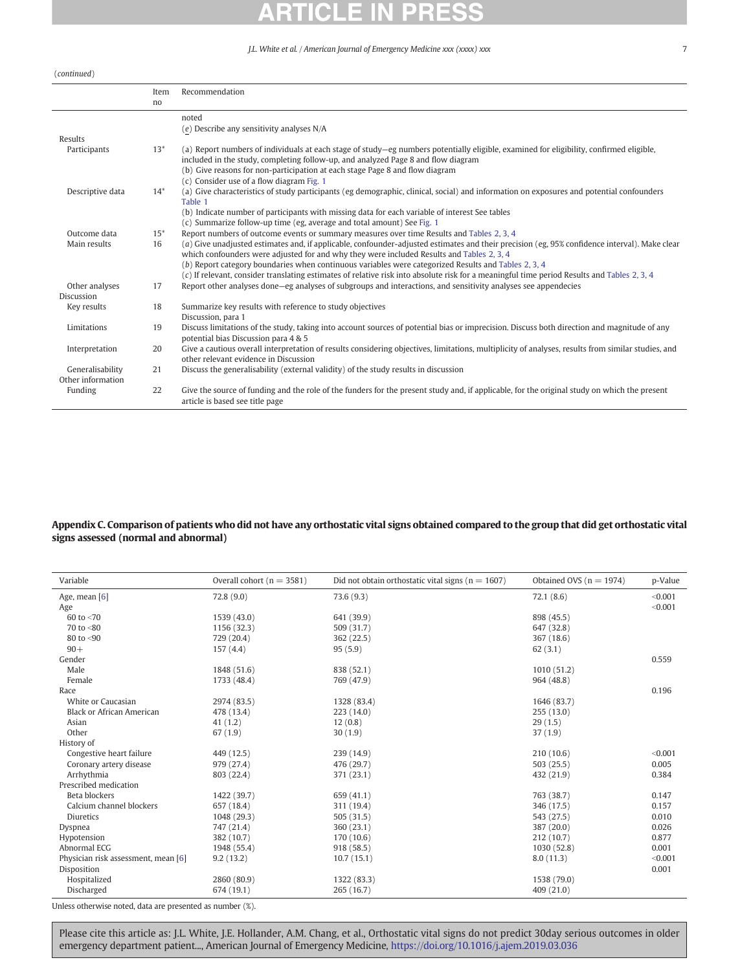### <span id="page-6-0"></span>(continued)

|                                       | Item  | Recommendation                                                                                                                                                                                                                             |
|---------------------------------------|-------|--------------------------------------------------------------------------------------------------------------------------------------------------------------------------------------------------------------------------------------------|
|                                       | no    |                                                                                                                                                                                                                                            |
|                                       |       | noted                                                                                                                                                                                                                                      |
|                                       |       | $(e)$ Describe any sensitivity analyses N/A                                                                                                                                                                                                |
| Results                               |       |                                                                                                                                                                                                                                            |
| Participants                          | $13*$ | (a) Report numbers of individuals at each stage of study—eg numbers potentially eligible, examined for eligibility, confirmed eligible,<br>included in the study, completing follow-up, and analyzed Page 8 and flow diagram               |
|                                       |       | (b) Give reasons for non-participation at each stage Page 8 and flow diagram                                                                                                                                                               |
|                                       |       | (c) Consider use of a flow diagram Fig. 1                                                                                                                                                                                                  |
| Descriptive data                      | $14*$ | (a) Give characteristics of study participants (eg demographic, clinical, social) and information on exposures and potential confounders<br>Table 1                                                                                        |
|                                       |       | (b) Indicate number of participants with missing data for each variable of interest See tables                                                                                                                                             |
|                                       |       | (c) Summarize follow-up time (eg, average and total amount) See Fig. 1                                                                                                                                                                     |
| Outcome data                          | $15*$ | Report numbers of outcome events or summary measures over time Results and Tables 2, 3, 4                                                                                                                                                  |
| Main results                          | 16    | (a) Give unadjusted estimates and, if applicable, confounder-adjusted estimates and their precision (eg, 95% confidence interval). Make clear<br>which confounders were adjusted for and why they were included Results and Tables 2, 3, 4 |
|                                       |       | (b) Report category boundaries when continuous variables were categorized Results and Tables 2, 3, 4                                                                                                                                       |
|                                       |       | (c) If relevant, consider translating estimates of relative risk into absolute risk for a meaningful time period Results and Tables 2, 3, 4                                                                                                |
| Other analyses                        | 17    | Report other analyses done—eg analyses of subgroups and interactions, and sensitivity analyses see appendecies                                                                                                                             |
| Discussion                            |       |                                                                                                                                                                                                                                            |
| Key results                           | 18    | Summarize key results with reference to study objectives                                                                                                                                                                                   |
|                                       |       | Discussion, para 1                                                                                                                                                                                                                         |
| Limitations                           | 19    | Discuss limitations of the study, taking into account sources of potential bias or imprecision. Discuss both direction and magnitude of any                                                                                                |
|                                       |       | potential bias Discussion para 4 & 5                                                                                                                                                                                                       |
| Interpretation                        | 20    | Give a cautious overall interpretation of results considering objectives, limitations, multiplicity of analyses, results from similar studies, and<br>other relevant evidence in Discussion                                                |
| Generalisability<br>Other information | 21    | Discuss the generalisability (external validity) of the study results in discussion                                                                                                                                                        |
| Funding                               | 22    | Give the source of funding and the role of the funders for the present study and, if applicable, for the original study on which the present<br>article is based see title page                                                            |

# Appendix C. Comparison of patients who did not have any orthostatic vital signs obtained compared to the group that did get orthostatic vital signs assessed (normal and abnormal)

| Variable                            | Overall cohort ( $n = 3581$ ) | Did not obtain orthostatic vital signs ( $n = 1607$ ) | Obtained OVS $(n = 1974)$ | p-Value |
|-------------------------------------|-------------------------------|-------------------------------------------------------|---------------------------|---------|
| Age, mean [6]                       | 72.8(9.0)                     | 73.6 (9.3)                                            | 72.1(8.6)                 | < 0.001 |
| Age                                 |                               |                                                       |                           | < 0.001 |
| 60 to $< 70$                        | 1539 (43.0)                   | 641 (39.9)                                            | 898 (45.5)                |         |
| 70 to $< 80$                        | 1156 (32.3)                   | 509 (31.7)                                            | 647 (32.8)                |         |
| 80 to <90                           | 729 (20.4)                    | 362 (22.5)                                            | 367 (18.6)                |         |
| $90+$                               | 157(4.4)                      | 95(5.9)                                               | 62(3.1)                   |         |
| Gender                              |                               |                                                       |                           | 0.559   |
| Male                                | 1848 (51.6)                   | 838 (52.1)                                            | 1010(51.2)                |         |
| Female                              | 1733 (48.4)                   | 769 (47.9)                                            | 964 (48.8)                |         |
| Race                                |                               |                                                       |                           | 0.196   |
| White or Caucasian                  | 2974 (83.5)                   | 1328 (83.4)                                           | 1646 (83.7)               |         |
| <b>Black or African American</b>    | 478 (13.4)                    | 223 (14.0)                                            | 255(13.0)                 |         |
| Asian                               | 41(1.2)                       | 12(0.8)                                               | 29(1.5)                   |         |
| Other                               | 67(1.9)                       | 30(1.9)                                               | 37(1.9)                   |         |
| History of                          |                               |                                                       |                           |         |
| Congestive heart failure            | 449 (12.5)                    | 239 (14.9)                                            | 210(10.6)                 | < 0.001 |
| Coronary artery disease             | 979 (27.4)                    | 476 (29.7)                                            | 503(25.5)                 | 0.005   |
| Arrhythmia                          | 803 (22.4)                    | 371 (23.1)                                            | 432 (21.9)                | 0.384   |
| Prescribed medication               |                               |                                                       |                           |         |
| Beta blockers                       | 1422 (39.7)                   | 659 (41.1)                                            | 763 (38.7)                | 0.147   |
| Calcium channel blockers            | 657 (18.4)                    | 311 (19.4)                                            | 346 (17.5)                | 0.157   |
| Diuretics                           | 1048 (29.3)                   | 505 (31.5)                                            | 543 (27.5)                | 0.010   |
| Dyspnea                             | 747 (21.4)                    | 360 (23.1)                                            | 387 (20.0)                | 0.026   |
| Hypotension                         | 382 (10.7)                    | 170 (10.6)                                            | 212 (10.7)                | 0.877   |
| Abnormal ECG                        | 1948 (55.4)                   | 918 (58.5)                                            | 1030 (52.8)               | 0.001   |
| Physician risk assessment, mean [6] | 9.2(13.2)                     | 10.7(15.1)                                            | 8.0(11.3)                 | < 0.001 |
| Disposition                         |                               |                                                       |                           | 0.001   |
| Hospitalized                        | 2860 (80.9)                   | 1322 (83.3)                                           | 1538 (79.0)               |         |
| Discharged                          | 674 (19.1)                    | 265 (16.7)                                            | 409(21.0)                 |         |

Unless otherwise noted, data are presented as number (%).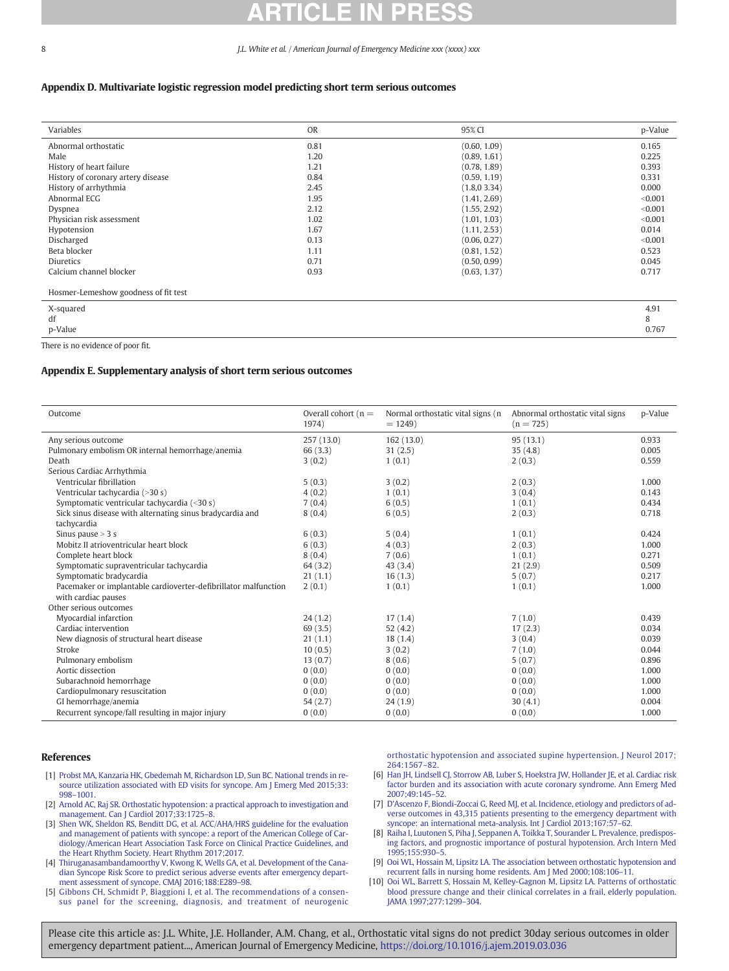# Appendix D. Multivariate logistic regression model predicting short term serious outcomes

| Variables                            | <b>OR</b> | 95% CI         | p-Value |
|--------------------------------------|-----------|----------------|---------|
| Abnormal orthostatic                 | 0.81      | (0.60, 1.09)   | 0.165   |
| Male                                 | 1.20      | (0.89, 1.61)   | 0.225   |
| History of heart failure             | 1.21      | (0.78, 1.89)   | 0.393   |
| History of coronary artery disease   | 0.84      | (0.59, 1.19)   | 0.331   |
| History of arrhythmia                | 2.45      | (1.8, 0.3, 34) | 0.000   |
| Abnormal ECG                         | 1.95      | (1.41, 2.69)   | < 0.001 |
| Dyspnea                              | 2.12      | (1.55, 2.92)   | < 0.001 |
| Physician risk assessment            | 1.02      | (1.01, 1.03)   | < 0.001 |
| Hypotension                          | 1.67      | (1.11, 2.53)   | 0.014   |
| Discharged                           | 0.13      | (0.06, 0.27)   | < 0.001 |
| Beta blocker                         | 1.11      | (0.81, 1.52)   | 0.523   |
| Diuretics                            | 0.71      | (0.50, 0.99)   | 0.045   |
| Calcium channel blocker              | 0.93      | (0.63, 1.37)   | 0.717   |
| Hosmer-Lemeshow goodness of fit test |           |                |         |
| X-squared                            |           |                | 4.91    |
| df                                   |           |                | 8       |
| p-Value                              |           |                | 0.767   |

There is no evidence of poor fit.

# Appendix E. Supplementary analysis of short term serious outcomes

| Outcome                                                         | Overall cohort $(n =$ | Normal orthostatic vital signs (n | Abnormal orthostatic vital signs | p-Value |
|-----------------------------------------------------------------|-----------------------|-----------------------------------|----------------------------------|---------|
|                                                                 | 1974)                 | $= 1249$                          | $(n = 725)$                      |         |
| Any serious outcome                                             | 257(13.0)             | 162(13.0)                         | 95(13.1)                         | 0.933   |
| Pulmonary embolism OR internal hemorrhage/anemia                | 66 (3.3)              | 31(2.5)                           | 35(4.8)                          | 0.005   |
| Death                                                           | 3(0.2)                | 1(0.1)                            | 2(0.3)                           | 0.559   |
| Serious Cardiac Arrhythmia                                      |                       |                                   |                                  |         |
| Ventricular fibrillation                                        | 5(0.3)                | 3(0.2)                            | 2(0.3)                           | 1.000   |
| Ventricular tachycardia (>30 s)                                 | 4(0.2)                | 1(0.1)                            | 3(0.4)                           | 0.143   |
| Symptomatic ventricular tachycardia (<30 s)                     | 7(0.4)                | 6(0.5)                            | 1(0.1)                           | 0.434   |
| Sick sinus disease with alternating sinus bradycardia and       | 8(0.4)                | 6(0.5)                            | 2(0.3)                           | 0.718   |
| tachycardia                                                     |                       |                                   |                                  |         |
| Sinus pause $>$ 3 s                                             | 6(0.3)                | 5(0.4)                            | 1(0.1)                           | 0.424   |
| Mobitz II atrioventricular heart block                          | 6(0.3)                | 4(0.3)                            | 2(0.3)                           | 1.000   |
| Complete heart block                                            | 8(0.4)                | 7(0.6)                            | 1(0.1)                           | 0.271   |
| Symptomatic supraventricular tachycardia                        | 64(3.2)               | 43(3.4)                           | 21(2.9)                          | 0.509   |
| Symptomatic bradycardia                                         | 21(1.1)               | 16(1.3)                           | 5(0.7)                           | 0.217   |
| Pacemaker or implantable cardioverter-defibrillator malfunction | 2(0.1)                | 1(0.1)                            | 1(0.1)                           | 1.000   |
| with cardiac pauses                                             |                       |                                   |                                  |         |
| Other serious outcomes                                          |                       |                                   |                                  |         |
| Myocardial infarction                                           | 24(1.2)               | 17(1.4)                           | 7(1.0)                           | 0.439   |
| Cardiac intervention                                            | 69 (3.5)              | 52(4.2)                           | 17(2.3)                          | 0.034   |
| New diagnosis of structural heart disease                       | 21(1.1)               | 18(1.4)                           | 3(0.4)                           | 0.039   |
| Stroke                                                          | 10(0.5)               | 3(0.2)                            | 7(1.0)                           | 0.044   |
| Pulmonary embolism                                              | 13(0.7)               | 8(0.6)                            | 5(0.7)                           | 0.896   |
| Aortic dissection                                               | 0(0.0)                | 0(0.0)                            | 0(0.0)                           | 1.000   |
| Subarachnoid hemorrhage                                         | 0(0.0)                | 0(0.0)                            | 0(0.0)                           | 1.000   |
| Cardiopulmonary resuscitation                                   | 0(0.0)                | 0(0.0)                            | 0(0.0)                           | 1.000   |
| GI hemorrhage/anemia                                            | 54(2.7)               | 24(1.9)                           | 30(4.1)                          | 0.004   |
| Recurrent syncope/fall resulting in major injury                | 0(0.0)                | 0(0.0)                            | 0(0.0)                           | 1.000   |

### References

- [1] [Probst MA, Kanzaria HK, Gbedemah M, Richardson LD, Sun BC. National trends in re](http://refhub.elsevier.com/S0735-6757(19)30186-X/rf0005)[source utilization associated with ED visits for syncope. Am J Emerg Med 2015;33:](http://refhub.elsevier.com/S0735-6757(19)30186-X/rf0005) 998–[1001.](http://refhub.elsevier.com/S0735-6757(19)30186-X/rf0005)
- [2] [Arnold AC, Raj SR. Orthostatic hypotension: a practical approach to investigation and](http://refhub.elsevier.com/S0735-6757(19)30186-X/rf0010) [management. Can J Cardiol 2017;33:1725](http://refhub.elsevier.com/S0735-6757(19)30186-X/rf0010)–8.
- [3] [Shen WK, Sheldon RS, Benditt DG, et al. ACC/AHA/HRS guideline for the evaluation](http://refhub.elsevier.com/S0735-6757(19)30186-X/rf0015) [and management of patients with syncope: a report of the American College of Car](http://refhub.elsevier.com/S0735-6757(19)30186-X/rf0015)[diology/American Heart Association Task Force on Clinical Practice Guidelines, and](http://refhub.elsevier.com/S0735-6757(19)30186-X/rf0015) [the Heart Rhythm Society. Heart Rhythm 2017;2017.](http://refhub.elsevier.com/S0735-6757(19)30186-X/rf0015)
- [4] [Thiruganasambandamoorthy V, Kwong K, Wells GA, et al. Development of the Cana](http://refhub.elsevier.com/S0735-6757(19)30186-X/rf0020)[dian Syncope Risk Score to predict serious adverse events after emergency depart](http://refhub.elsevier.com/S0735-6757(19)30186-X/rf0020)[ment assessment of syncope. CMAJ 2016;188:E289](http://refhub.elsevier.com/S0735-6757(19)30186-X/rf0020)–98.
- [5] [Gibbons CH, Schmidt P, Biaggioni I, et al. The recommendations of a consen](http://refhub.elsevier.com/S0735-6757(19)30186-X/rf0025)[sus panel for the screening, diagnosis, and treatment of neurogenic](http://refhub.elsevier.com/S0735-6757(19)30186-X/rf0025)

orthostatic hypotension [and associated supine hypertension. J Neurol 2017;](http://refhub.elsevier.com/S0735-6757(19)30186-X/rf0025) [264:1567](http://refhub.elsevier.com/S0735-6757(19)30186-X/rf0025)–82.

- [6] [Han JH, Lindsell CJ, Storrow AB, Luber S, Hoekstra JW, Hollander JE, et al. Cardiac risk](http://refhub.elsevier.com/S0735-6757(19)30186-X/rf0030) [factor burden and its association with acute coronary syndrome. Ann Emerg Med](http://refhub.elsevier.com/S0735-6757(19)30186-X/rf0030) [2007;49:145](http://refhub.elsevier.com/S0735-6757(19)30186-X/rf0030)–52.
- [7] [D'Ascenzo F, Biondi-Zoccai G, Reed MJ, et al. Incidence, etiology and predictors of ad](http://refhub.elsevier.com/S0735-6757(19)30186-X/rf0035)[verse outcomes in 43,315 patients presenting to the emergency department with](http://refhub.elsevier.com/S0735-6757(19)30186-X/rf0035) [syncope: an international meta-analysis. Int J Cardiol 2013;167:57](http://refhub.elsevier.com/S0735-6757(19)30186-X/rf0035)–62.
- [8] [Raiha I, Luutonen S, Piha J, Seppanen A, Toikka T, Sourander L. Prevalence, predispos](http://refhub.elsevier.com/S0735-6757(19)30186-X/rf0040)[ing factors, and prognostic importance of postural hypotension. Arch Intern Med](http://refhub.elsevier.com/S0735-6757(19)30186-X/rf0040) [1995;155:930](http://refhub.elsevier.com/S0735-6757(19)30186-X/rf0040)–5.
- [9] [Ooi WL, Hossain M, Lipsitz LA. The association between orthostatic hypotension and](http://refhub.elsevier.com/S0735-6757(19)30186-X/rf0045) [recurrent falls in nursing home residents. Am J Med 2000;108:106](http://refhub.elsevier.com/S0735-6757(19)30186-X/rf0045)–11.
- [10] [Ooi WL, Barrett S, Hossain M, Kelley-Gagnon M, Lipsitz LA. Patterns of orthostatic](http://refhub.elsevier.com/S0735-6757(19)30186-X/rf0050) [blood pressure change and their clinical correlates in a frail, elderly population.](http://refhub.elsevier.com/S0735-6757(19)30186-X/rf0050) [JAMA 1997;277:1299](http://refhub.elsevier.com/S0735-6757(19)30186-X/rf0050)–304.

<span id="page-7-0"></span>